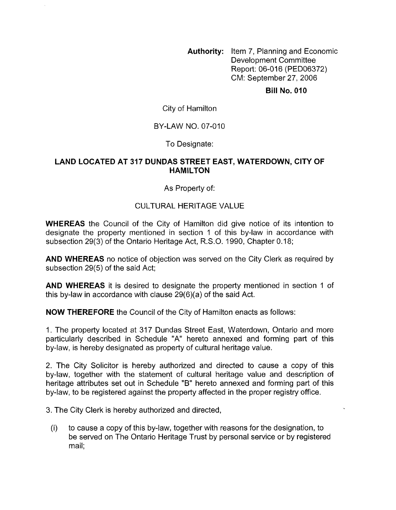**Authority:** Item 7, Planning and Economic Development Committee Report: 06-016 (PED06372) CM: September 27,2006

**Bill No. 010** 

City of Hamilton

BY-LAW NO. 07-010

To Designate:

### **LAND LOCATED AT 317 DUNDAS STREET EAST, WATERDOWN, CITY OF HAMILTON**

As Property of:

# CULTURAL HERITAGE VALUE

**WHEREAS** the Council of the City of Hamilton did give notice of its intention to designate the property mentioned in section 1 of this by-law in accordance with subsection 29(3) of the Ontario Heritage Act, R.S.O. 1990, Chapter 0.18;

**AND WHEREAS** no notice of objection was served on the City Clerk as required by subsection 29(5) of the said Act;

**AND WHEREAS** it is desired to designate the property mentioned in section 1 of this by-law in accordance with clause 29(6)(a) of the said Act.

**NOW THEREFORE** the Council of the City of Hamilton enacts as follows:

1. The property located at 317 Dundas Street East, Waterdown, Ontario and more particularly described in Schedule **"A"** hereto annexed and forming part of this by-law, is hereby designated as property of cultural heritage value.

2. The City Solicitor is hereby authorized and directed to cause a copy of this by-law, together with the statement of cultural heritage value and description of heritage attributes set out in Schedule "B" hereto annexed and forming part of this by-law, to be registered against the property affected in the proper registry office.

3. The City Clerk is hereby authorized and directed,

(i) to cause a copy of this by-law, together with reasons for the designation, to be served on The Ontario Heritage Trust by personal service or by registered mail: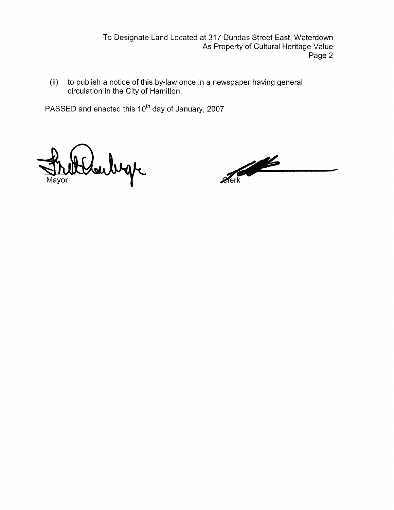To Designate Land Located at 317 Dundas Street East, Waterdown As Property of Cultural Heritage Value Page 2

(ii) to publish a notice of this by-law once in a newspaper having general circulation in the City of Hamilton.

PASSED and enacted this 10<sup>th</sup> day of January, 2007

bege

 $\frac{1}{\sqrt{2}}$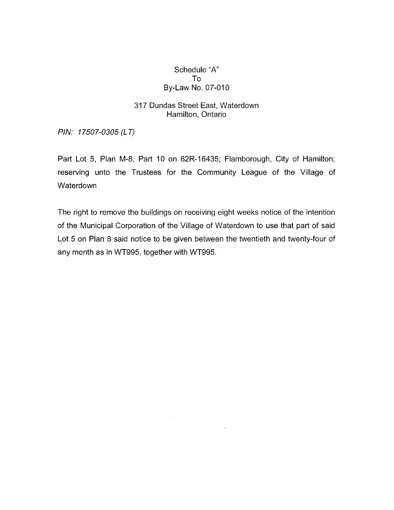### Schedule "A" To By-Law No. 07-010

## 317 Dundas Street East, Waterdown Hamilton, Ontario

*PIN:* 17507-0305 (LT)

Part Lot 5, Plan M-8, Part 10 on 62R-16435; Flamborough, City of Hamilton; reserving unto the Trustees for the Community League of the Village of Waterdown

The right to remove the buildings on receiving eight weeks notice of the intention of the Municipal Corporation of the Village of Waterdown to use that part of said Lot 5 on Plan 8 said notice to be given between the twentieth and twenty-four of any month as in WT995, together with WT995.

 $\sim$ 

 $\bar{z}$